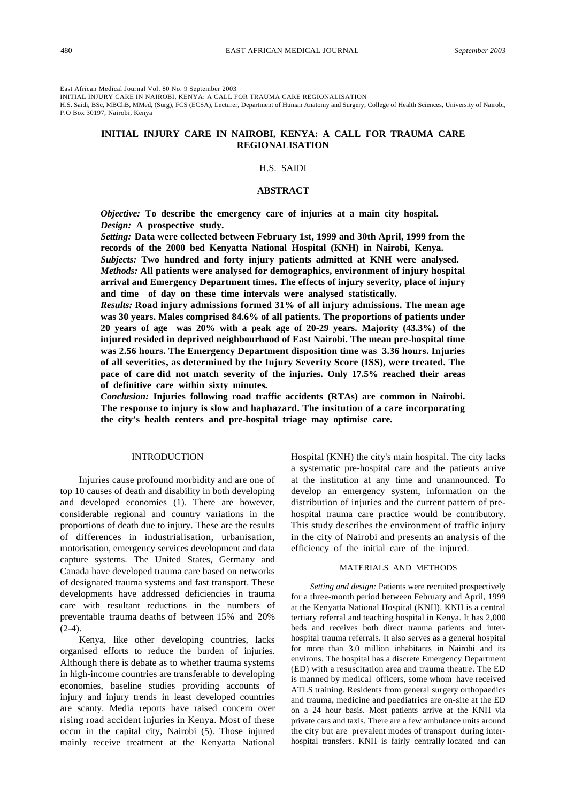East African Medical Journal Vol. 80 No. 9 September 2003

INITIAL INJURY CARE IN NAIROBI, KENYA: A CALL FOR TRAUMA CARE REGIONALISATION

H.S. Saidi, BSc, MBChB, MMed, (Surg), FCS (ECSA), Lecturer, Department of Human Anatomy and Surgery, College of Health Sciences, University of Nairobi, P.O Box 30197, Nairobi, Kenya

# **INITIAL INJURY CARE IN NAIROBI, KENYA: A CALL FOR TRAUMA CARE REGIONALISATION**

## H.S. SAIDI

## **ABSTRACT**

*Objective:* **To describe the emergency care of injuries at a main city hospital.** *Design:* **A prospective study.**

*Setting:* **Data were collected between February 1st, 1999 and 30th April, 1999 from the records of the 2000 bed Kenyatta National Hospital (KNH) in Nairobi, Kenya.** *Subjects:* **Two hundred and forty injury patients admitted at KNH were analysed.** *Methods:* **All patients were analysed for demographics, environment of injury hospital arrival and Emergency Department times. The effects of injury severity, place of injury and time of day on these time intervals were analysed statistically.**

*Results:* **Road injury admissions formed 31% of all injury admissions. The mean age was 30 years. Males comprised 84.6% of all patients. The proportions of patients under 20 years of age was 20% with a peak age of 20-29 years. Majority (43.3%) of the injured resided in deprived neighbourhood of East Nairobi. The mean pre-hospital time was 2.56 hours. The Emergency Department disposition time was 3.36 hours. Injuries of all severities, as determined by the Injury Severity Score (ISS), were treated. The pace of care did not match severity of the injuries. Only 17.5% reached their areas of definitive care within sixty minutes.**

*Conclusion:* **Injuries following road traffic accidents (RTAs) are common in Nairobi. The response to injury is slow and haphazard. The insitution of a care incorporating the city's health centers and pre-hospital triage may optimise care.**

#### INTRODUCTION

Injuries cause profound morbidity and are one of top 10 causes of death and disability in both developing and developed economies (1). There are however, considerable regional and country variations in the proportions of death due to injury. These are the results of differences in industrialisation, urbanisation, motorisation, emergency services development and data capture systems. The United States, Germany and Canada have developed trauma care based on networks of designated trauma systems and fast transport. These developments have addressed deficiencies in trauma care with resultant reductions in the numbers of preventable trauma deaths of between 15% and 20%  $(2-4)$ .

Kenya, like other developing countries, lacks organised efforts to reduce the burden of injuries. Although there is debate as to whether trauma systems in high-income countries are transferable to developing economies, baseline studies providing accounts of injury and injury trends in least developed countries are scanty. Media reports have raised concern over rising road accident injuries in Kenya. Most of these occur in the capital city, Nairobi (5). Those injured mainly receive treatment at the Kenyatta National Hospital (KNH) the city's main hospital. The city lacks a systematic pre-hospital care and the patients arrive at the institution at any time and unannounced. To develop an emergency system, information on the distribution of injuries and the current pattern of prehospital trauma care practice would be contributory. This study describes the environment of traffic injury in the city of Nairobi and presents an analysis of the efficiency of the initial care of the injured.

#### MATERIALS AND METHODS

*Setting and design:* Patients were recruited prospectively for a three-month period between February and April, 1999 at the Kenyatta National Hospital (KNH). KNH is a central tertiary referral and teaching hospital in Kenya. It has 2,000 beds and receives both direct trauma patients and interhospital trauma referrals. It also serves as a general hospital for more than 3.0 million inhabitants in Nairobi and its environs. The hospital has a discrete Emergency Department (ED) with a resuscitation area and trauma theatre. The ED is manned by medical officers, some whom have received ATLS training. Residents from general surgery orthopaedics and trauma, medicine and paediatrics are on-site at the ED on a 24 hour basis. Most patients arrive at the KNH via private cars and taxis. There are a few ambulance units around the city but are prevalent modes of transport during interhospital transfers. KNH is fairly centrally located and can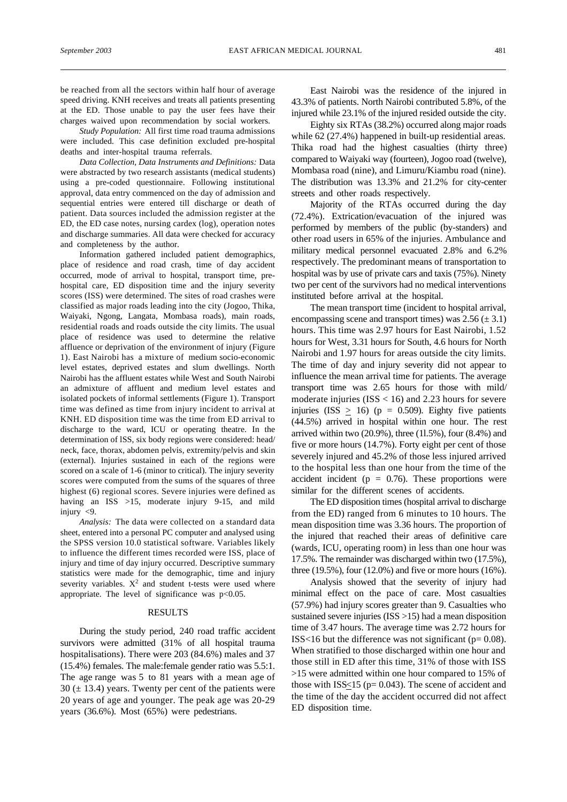be reached from all the sectors within half hour of average speed driving. KNH receives and treats all patients presenting at the ED. Those unable to pay the user fees have their charges waived upon recommendation by social workers.

*Study Population:* All first time road trauma admissions were included. This case definition excluded pre-hospital deaths and inter-hospital trauma referrals.

*Data Collection, Data Instruments and Definitions:* Data were abstracted by two research assistants (medical students) using a pre-coded questionnaire. Following institutional approval, data entry commenced on the day of admission and sequential entries were entered till discharge or death of patient. Data sources included the admission register at the ED, the ED case notes, nursing cardex (log), operation notes and discharge summaries. All data were checked for accuracy and completeness by the author.

Information gathered included patient demographics, place of residence and road crash, time of day accident occurred, mode of arrival to hospital, transport time, prehospital care, ED disposition time and the injury severity scores (ISS) were determined. The sites of road crashes were classified as major roads leading into the city (Jogoo, Thika, Waiyaki, Ngong, Langata, Mombasa roads), main roads, residential roads and roads outside the city limits. The usual place of residence was used to determine the relative affluence or deprivation of the environment of injury (Figure 1). East Nairobi has a mixture of medium socio-economic level estates, deprived estates and slum dwellings. North Nairobi has the affluent estates while West and South Nairobi an admixture of affluent and medium level estates and isolated pockets of informal settlements (Figure 1). Transport time was defined as time from injury incident to arrival at KNH. ED disposition time was the time from ED arrival to discharge to the ward, ICU or operating theatre. In the determination of lSS, six body regions were considered: head/ neck, face, thorax, abdomen pelvis, extremity/pelvis and skin (external). Injuries sustained in each of the regions were scored on a scale of 1-6 (minor to critical). The injury severity scores were computed from the sums of the squares of three highest (6) regional scores. Severe injuries were defined as having an ISS >15, moderate injury 9-15, and mild injury <9.

*Analysis:* The data were collected on a standard data sheet, entered into a personal PC computer and analysed using the SPSS version 10.0 statistical software. Variables likely to influence the different times recorded were ISS, place of injury and time of day injury occurred. Descriptive summary statistics were made for the demographic, time and injury severity variables.  $X^2$  and student t-tests were used where appropriate. The level of significance was  $p<0.05$ .

#### RESULTS

During the study period, 240 road traffic accident survivors were admitted (31% of all hospital trauma hospitalisations). There were 203 (84.6%) males and 37 (15.4%) females. The male:female gender ratio was 5.5:1. The age range was 5 to 81 years with a mean age of  $30 (\pm 13.4)$  years. Twenty per cent of the patients were 20 years of age and younger. The peak age was 20-29 years (36.6%). Most (65%) were pedestrians.

East Nairobi was the residence of the injured in 43.3% of patients. North Nairobi contributed 5.8%, of the injured while 23.1% of the injured resided outside the city.

Eighty six RTAs (38.2%) occurred along major roads while 62 (27.4%) happened in built-up residential areas. Thika road had the highest casualties (thirty three) compared to Waiyaki way (fourteen), Jogoo road (twelve), Mombasa road (nine), and Limuru/Kiambu road (nine). The distribution was 13.3% and 21.2% for city-center streets and other roads respectively.

Majority of the RTAs occurred during the day (72.4%). Extrication/evacuation of the injured was performed by members of the public (by-standers) and other road users in 65% of the injuries. Ambulance and military medical personnel evacuated 2.8% and 6.2% respectively. The predominant means of transportation to hospital was by use of private cars and taxis (75%). Ninety two per cent of the survivors had no medical interventions instituted before arrival at the hospital.

The mean transport time (incident to hospital arrival, encompassing scene and transport times) was  $2.56 \ (\pm 3.1)$ hours. This time was 2.97 hours for East Nairobi, 1.52 hours for West, 3.31 hours for South, 4.6 hours for North Nairobi and 1.97 hours for areas outside the city limits. The time of day and injury severity did not appear to influence the mean arrival time for patients. The average transport time was 2.65 hours for those with mild/ moderate injuries ( $ISS < 16$ ) and 2.23 hours for severe injuries (ISS  $\geq$  16) (p = 0.509). Eighty five patients (44.5%) arrived in hospital within one hour. The rest arrived within two (20.9%), three (1l.5%), four (8.4%) and five or more hours (14.7%). Forty eight per cent of those severely injured and 45.2% of those less injured arrived to the hospital less than one hour from the time of the accident incident ( $p = 0.76$ ). These proportions were similar for the different scenes of accidents.

The ED disposition times (hospital arrival to discharge from the ED) ranged from 6 minutes to 10 hours. The mean disposition time was 3.36 hours. The proportion of the injured that reached their areas of definitive care (wards, ICU, operating room) in less than one hour was 17.5%. The remainder was discharged within two (17.5%), three (19.5%), four (12.0%) and five or more hours (16%).

Analysis showed that the severity of injury had minimal effect on the pace of care. Most casualties (57.9%) had injury scores greater than 9. Casualties who sustained severe injuries (ISS > 15) had a mean disposition time of 3.47 hours. The average time was 2.72 hours for ISS<16 but the difference was not significant ( $p= 0.08$ ). When stratified to those discharged within one hour and those still in ED after this time, 31% of those with ISS >15 were admitted within one hour compared to 15% of those with ISS $<$ 15 (p= 0.043). The scene of accident and the time of the day the accident occurred did not affect ED disposition time.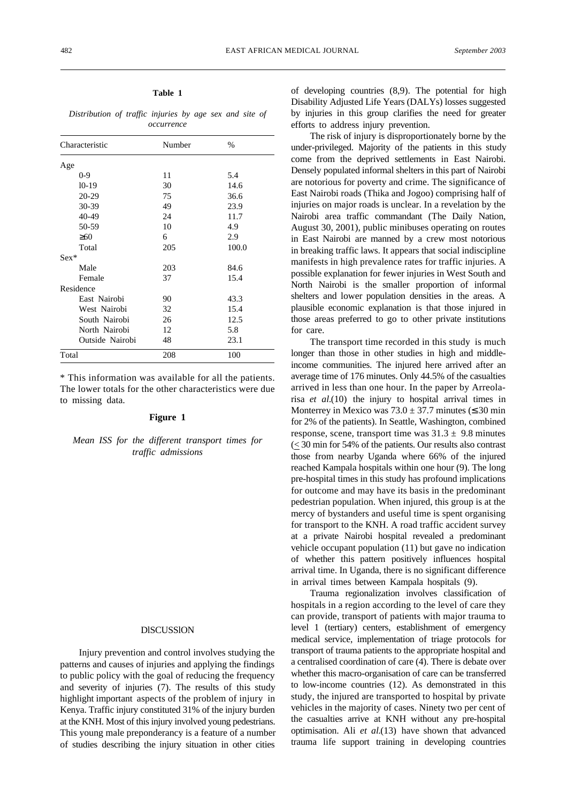# **Table 1**

*Distribution of traffic injuries by age sex and site of occurrence*

| Characteristic  | Number | $\%$  |
|-----------------|--------|-------|
| Age             |        |       |
| $0 - 9$         | 11     | 5.4   |
| $10-19$         | 30     | 14.6  |
| $20 - 29$       | 75     | 36.6  |
| 30-39           | 49     | 23.9  |
| 40-49           | 24     | 11.7  |
| 50-59           | 10     | 4.9   |
| 60              | 6      | 2.9   |
| Total           | 205    | 100.0 |
| $Sex*$          |        |       |
| Male            | 203    | 84.6  |
| Female          | 37     | 15.4  |
| Residence       |        |       |
| East Nairobi    | 90     | 43.3  |
| West Nairobi    | 32     | 15.4  |
| South Nairobi   | 26     | 12.5  |
| North Nairobi   | 12     | 5.8   |
| Outside Nairobi | 48     | 23.1  |
| Total           | 208    | 100   |

\* This information was available for all the patients. The lower totals for the other characteristics were due to missing data.

#### **Figure 1**

*Mean ISS for the different transport times for traffic admissions*

## **DISCUSSION**

Injury prevention and control involves studying the patterns and causes of injuries and applying the findings to public policy with the goal of reducing the frequency and severity of injuries (7). The results of this study highlight important aspects of the problem of injury in Kenya. Traffic injury constituted 31% of the injury burden at the KNH. Most of this injury involved young pedestrians. This young male preponderancy is a feature of a number of studies describing the injury situation in other cities

of developing countries (8,9). The potential for high Disability Adjusted Life Years (DALYs) losses suggested by injuries in this group clarifies the need for greater efforts to address injury prevention.

The risk of injury is disproportionately borne by the under-privileged. Majority of the patients in this study come from the deprived settlements in East Nairobi. Densely populated informal shelters in this part of Nairobi are notorious for poverty and crime. The significance of East Nairobi roads (Thika and Jogoo) comprising half of injuries on major roads is unclear. In a revelation by the Nairobi area traffic commandant (The Daily Nation, August 30, 2001), public minibuses operating on routes in East Nairobi are manned by a crew most notorious in breaking traffic laws. It appears that social indiscipline manifests in high prevalence rates for traffic injuries. A possible explanation for fewer injuries in West South and North Nairobi is the smaller proportion of informal shelters and lower population densities in the areas. A plausible economic explanation is that those injured in those areas preferred to go to other private institutions for care.

The transport time recorded in this study is much longer than those in other studies in high and middleincome communities. The injured here arrived after an average time of 176 minutes. Only 44.5% of the casualties arrived in less than one hour. In the paper by Arreolarisa *et al.*(10) the injury to hospital arrival times in Monterrey in Mexico was  $73.0 \pm 37.7$  minutes (30 min for 2% of the patients). In Seattle, Washington, combined response, scene, transport time was  $31.3 \pm 9.8$  minutes (< 30 min for 54% of the patients. Our results also contrast those from nearby Uganda where 66% of the injured reached Kampala hospitals within one hour (9). The long pre-hospital times in this study has profound implications for outcome and may have its basis in the predominant pedestrian population. When injured, this group is at the mercy of bystanders and useful time is spent organising for transport to the KNH. A road traffic accident survey at a private Nairobi hospital revealed a predominant vehicle occupant population (11) but gave no indication of whether this pattern positively influences hospital arrival time. In Uganda, there is no significant difference in arrival times between Kampala hospitals (9).

Trauma regionalization involves classification of hospitals in a region according to the level of care they can provide, transport of patients with major trauma to level 1 (tertiary) centers, establishment of emergency medical service, implementation of triage protocols for transport of trauma patients to the appropriate hospital and a centralised coordination of care (4). There is debate over whether this macro-organisation of care can be transferred to low-income countries (12). As demonstrated in this study, the injured are transported to hospital by private vehicles in the majority of cases. Ninety two per cent of the casualties arrive at KNH without any pre-hospital optimisation. Ali *et al.*(13) have shown that advanced trauma life support training in developing countries